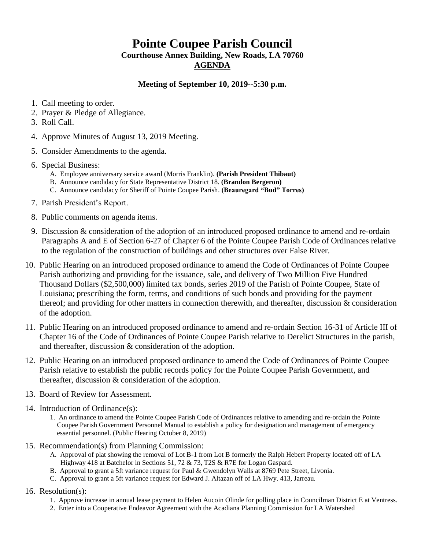## **Pointe Coupee Parish Council**

**Courthouse Annex Building, New Roads, LA 70760 AGENDA**

## **Meeting of September 10, 2019--5:30 p.m.**

- 1. Call meeting to order.
- 2. Prayer & Pledge of Allegiance.
- 3. Roll Call.
- 4. Approve Minutes of August 13, 2019 Meeting.
- 5. Consider Amendments to the agenda.
- 6. Special Business:
	- A. Employee anniversary service award (Morris Franklin). **(Parish President Thibaut)**
	- B. Announce candidacy for State Representative District 18. **(Brandon Bergeron)**
	- C. Announce candidacy for Sheriff of Pointe Coupee Parish. **(Beauregard "Bud" Torres)**
- 7. Parish President's Report.
- 8. Public comments on agenda items.
- 9. Discussion & consideration of the adoption of an introduced proposed ordinance to amend and re-ordain Paragraphs A and E of Section 6-27 of Chapter 6 of the Pointe Coupee Parish Code of Ordinances relative to the regulation of the construction of buildings and other structures over False River.
- 10. Public Hearing on an introduced proposed ordinance to amend the Code of Ordinances of Pointe Coupee Parish authorizing and providing for the issuance, sale, and delivery of Two Million Five Hundred Thousand Dollars (\$2,500,000) limited tax bonds, series 2019 of the Parish of Pointe Coupee, State of Louisiana; prescribing the form, terms, and conditions of such bonds and providing for the payment thereof; and providing for other matters in connection therewith, and thereafter, discussion & consideration of the adoption.
- 11. Public Hearing on an introduced proposed ordinance to amend and re-ordain Section 16-31 of Article III of Chapter 16 of the Code of Ordinances of Pointe Coupee Parish relative to Derelict Structures in the parish, and thereafter, discussion & consideration of the adoption.
- 12. Public Hearing on an introduced proposed ordinance to amend the Code of Ordinances of Pointe Coupee Parish relative to establish the public records policy for the Pointe Coupee Parish Government, and thereafter, discussion & consideration of the adoption.
- 13. Board of Review for Assessment.
- 14. Introduction of Ordinance(s):
	- 1. An ordinance to amend the Pointe Coupee Parish Code of Ordinances relative to amending and re-ordain the Pointe Coupee Parish Government Personnel Manual to establish a policy for designation and management of emergency essential personnel. (Public Hearing October 8, 2019)
- 15. Recommendation(s) from Planning Commission:
	- A. Approval of plat showing the removal of Lot B-1 from Lot B formerly the Ralph Hebert Property located off of LA Highway 418 at Batchelor in Sections 51, 72 & 73, T2S & R7E for Logan Gaspard.
	- B. Approval to grant a 5ft variance request for Paul & Gwendolyn Walls at 8769 Pete Street, Livonia.
	- C. Approval to grant a 5ft variance request for Edward J. Altazan off of LA Hwy. 413, Jarreau.
- 16. Resolution(s):
	- 1. Approve increase in annual lease payment to Helen Aucoin Olinde for polling place in Councilman District E at Ventress.
	- 2. Enter into a Cooperative Endeavor Agreement with the Acadiana Planning Commission for LA Watershed